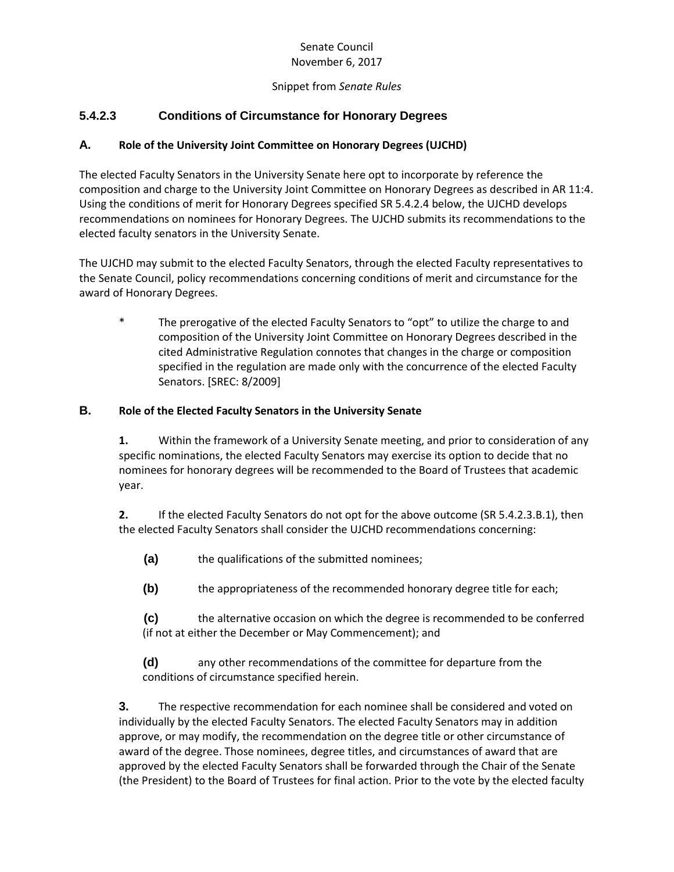### Senate Council November 6, 2017

### Snippet from *Senate Rules*

# **5.4.2.3 Conditions of Circumstance for Honorary Degrees**

# **A. Role of the University Joint Committee on Honorary Degrees (UJCHD)**

The elected Faculty Senators in the University Senate here opt to incorporate by reference the composition and charge to the University Joint Committee on Honorary Degrees as described in AR 11:4. Using the conditions of merit for Honorary Degrees specified SR 5.4.2.4 below, the UJCHD develops recommendations on nominees for Honorary Degrees. The UJCHD submits its recommendations to the elected faculty senators in the University Senate.

The UJCHD may submit to the elected Faculty Senators, through the elected Faculty representatives to the Senate Council, policy recommendations concerning conditions of merit and circumstance for the award of Honorary Degrees.

\* The prerogative of the elected Faculty Senators to "opt" to utilize the charge to and composition of the University Joint Committee on Honorary Degrees described in the cited Administrative Regulation connotes that changes in the charge or composition specified in the regulation are made only with the concurrence of the elected Faculty Senators. [SREC: 8/2009]

### **B. Role of the Elected Faculty Senators in the University Senate**

**1.** Within the framework of a University Senate meeting, and prior to consideration of any specific nominations, the elected Faculty Senators may exercise its option to decide that no nominees for honorary degrees will be recommended to the Board of Trustees that academic year.

**2.** If the elected Faculty Senators do not opt for the above outcome (SR 5.4.2.3.B.1), then the elected Faculty Senators shall consider the UJCHD recommendations concerning:

**(a)** the qualifications of the submitted nominees;

**(b)** the appropriateness of the recommended honorary degree title for each;

**(c)** the alternative occasion on which the degree is recommended to be conferred (if not at either the December or May Commencement); and

**(d)** any other recommendations of the committee for departure from the conditions of circumstance specified herein.

**3.** The respective recommendation for each nominee shall be considered and voted on individually by the elected Faculty Senators. The elected Faculty Senators may in addition approve, or may modify, the recommendation on the degree title or other circumstance of award of the degree. Those nominees, degree titles, and circumstances of award that are approved by the elected Faculty Senators shall be forwarded through the Chair of the Senate (the President) to the Board of Trustees for final action. Prior to the vote by the elected faculty